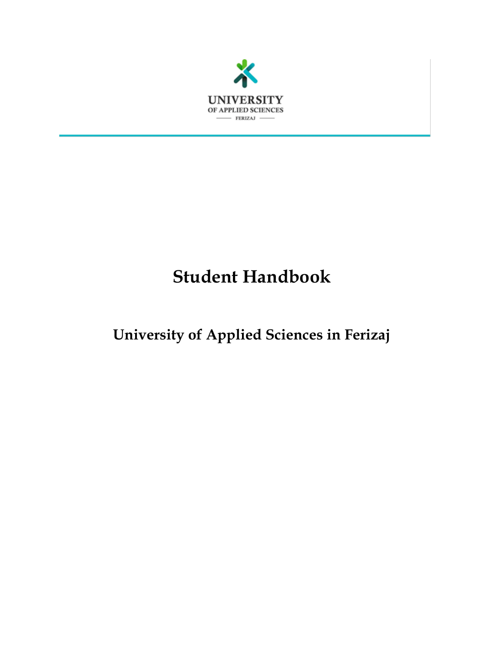

# **Student Handbook**

# **University of Applied Sciences in Ferizaj**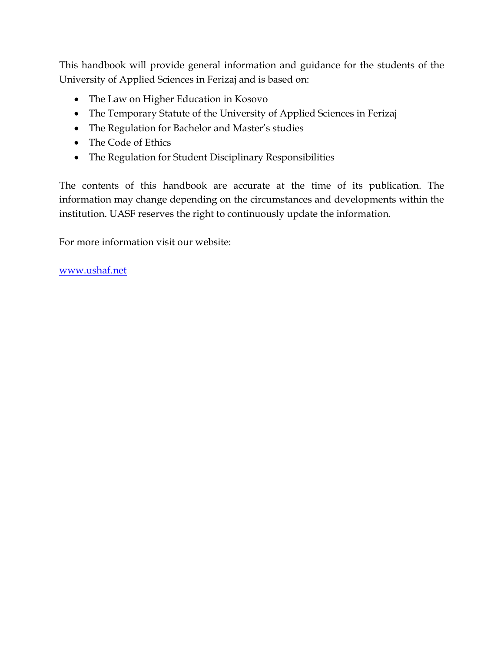This handbook will provide general information and guidance for the students of the University of Applied Sciences in Ferizaj and is based on:

- The Law on Higher Education in Kosovo
- The Temporary Statute of the University of Applied Sciences in Ferizaj
- The Regulation for Bachelor and Master's studies
- The Code of Ethics
- The Regulation for Student Disciplinary Responsibilities

The contents of this handbook are accurate at the time of its publication. The information may change depending on the circumstances and developments within the institution. UASF reserves the right to continuously update the information.

For more information visit our website:

[www.ushaf.net](http://www.ushaf.net/)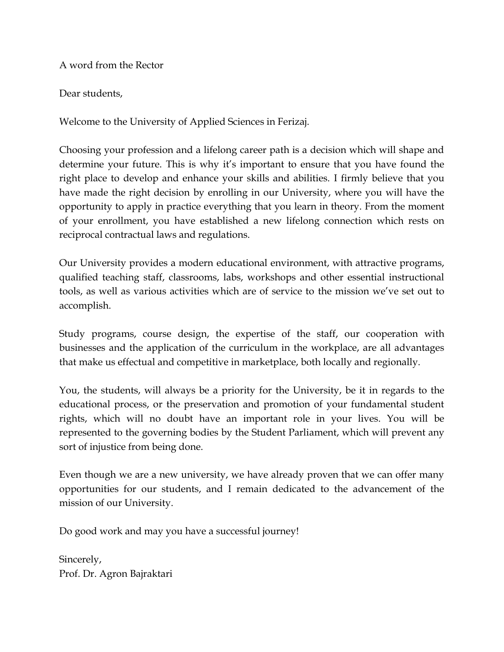A word from the Rector

Dear students,

Welcome to the University of Applied Sciences in Ferizaj.

Choosing your profession and a lifelong career path is a decision which will shape and determine your future. This is why it's important to ensure that you have found the right place to develop and enhance your skills and abilities. I firmly believe that you have made the right decision by enrolling in our University, where you will have the opportunity to apply in practice everything that you learn in theory. From the moment of your enrollment, you have established a new lifelong connection which rests on reciprocal contractual laws and regulations.

Our University provides a modern educational environment, with attractive programs, qualified teaching staff, classrooms, labs, workshops and other essential instructional tools, as well as various activities which are of service to the mission we've set out to accomplish.

Study programs, course design, the expertise of the staff, our cooperation with businesses and the application of the curriculum in the workplace, are all advantages that make us effectual and competitive in marketplace, both locally and regionally.

You, the students, will always be a priority for the University, be it in regards to the educational process, or the preservation and promotion of your fundamental student rights, which will no doubt have an important role in your lives. You will be represented to the governing bodies by the Student Parliament, which will prevent any sort of injustice from being done.

Even though we are a new university, we have already proven that we can offer many opportunities for our students, and I remain dedicated to the advancement of the mission of our University.

Do good work and may you have a successful journey!

Sincerely, Prof. Dr. Agron Bajraktari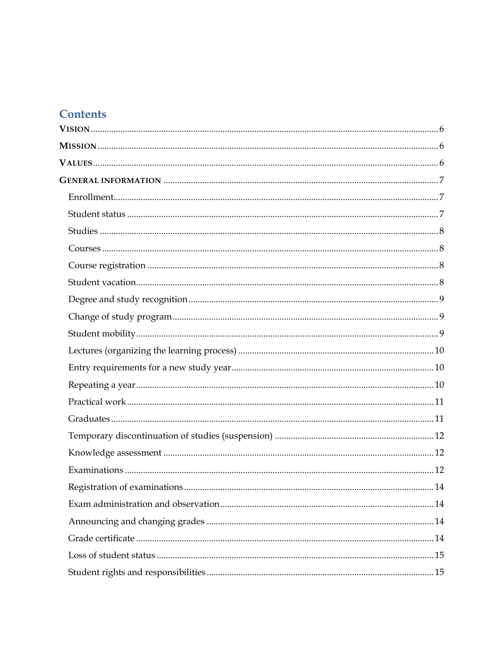# **Contents**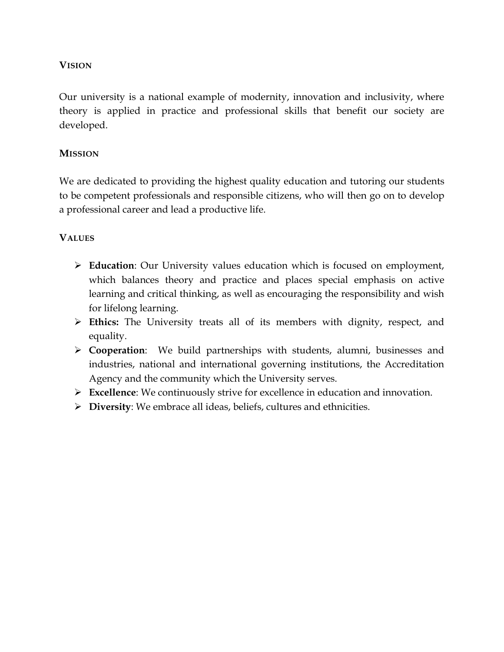## <span id="page-5-0"></span>**VISION**

Our university is a national example of modernity, innovation and inclusivity, where theory is applied in practice and professional skills that benefit our society are developed.

### <span id="page-5-1"></span>**MISSION**

We are dedicated to providing the highest quality education and tutoring our students to be competent professionals and responsible citizens, who will then go on to develop a professional career and lead a productive life.

## <span id="page-5-2"></span>**VALUES**

- **Education**: Our University values education which is focused on employment, which balances theory and practice and places special emphasis on active learning and critical thinking, as well as encouraging the responsibility and wish for lifelong learning.
- **Ethics:** The University treats all of its members with dignity, respect, and equality.
- **Cooperation**: We build partnerships with students, alumni, businesses and industries, national and international governing institutions, the Accreditation Agency and the community which the University serves.
- **Excellence**: We continuously strive for excellence in education and innovation.
- **Diversity**: We embrace all ideas, beliefs, cultures and ethnicities.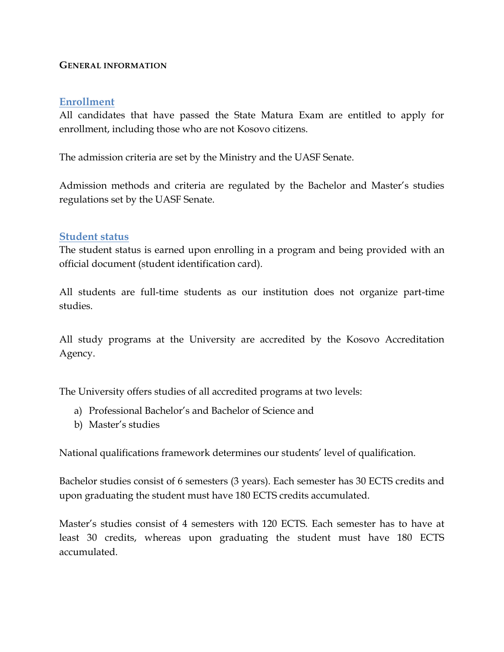#### <span id="page-6-0"></span>**GENERAL INFORMATION**

### <span id="page-6-1"></span>**Enrollment**

All candidates that have passed the State Matura Exam are entitled to apply for enrollment, including those who are not Kosovo citizens.

The admission criteria are set by the Ministry and the UASF Senate.

Admission methods and criteria are regulated by the Bachelor and Master's studies regulations set by the UASF Senate.

### <span id="page-6-2"></span>**Student status**

The student status is earned upon enrolling in a program and being provided with an official document (student identification card).

All students are full-time students as our institution does not organize part-time studies.

All study programs at the University are accredited by the Kosovo Accreditation Agency.

The University offers studies of all accredited programs at two levels:

- a) Professional Bachelor's and Bachelor of Science and
- b) Master's studies

National qualifications framework determines our students' level of qualification.

Bachelor studies consist of 6 semesters (3 years). Each semester has 30 ECTS credits and upon graduating the student must have 180 ECTS credits accumulated.

Master's studies consist of 4 semesters with 120 ECTS. Each semester has to have at least 30 credits, whereas upon graduating the student must have 180 ECTS accumulated.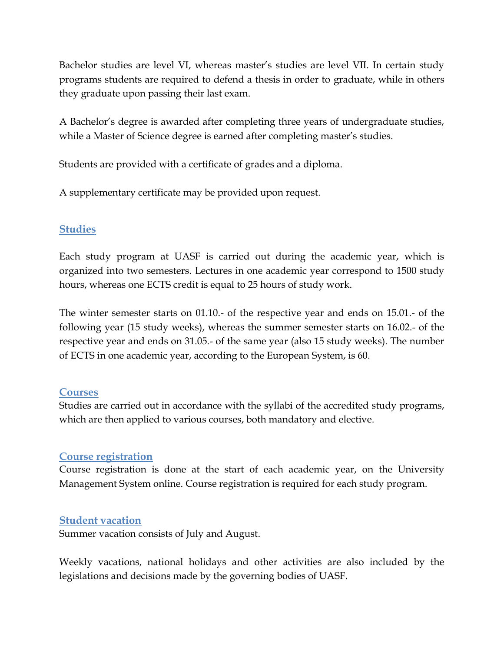Bachelor studies are level VI, whereas master's studies are level VII. In certain study programs students are required to defend a thesis in order to graduate, while in others they graduate upon passing their last exam.

A Bachelor's degree is awarded after completing three years of undergraduate studies, while a Master of Science degree is earned after completing master's studies.

Students are provided with a certificate of grades and a diploma.

A supplementary certificate may be provided upon request.

## <span id="page-7-0"></span>**Studies**

Each study program at UASF is carried out during the academic year, which is organized into two semesters. Lectures in one academic year correspond to 1500 study hours, whereas one ECTS credit is equal to 25 hours of study work.

The winter semester starts on 01.10.- of the respective year and ends on 15.01.- of the following year (15 study weeks), whereas the summer semester starts on 16.02.- of the respective year and ends on 31.05.- of the same year (also 15 study weeks). The number of ECTS in one academic year, according to the European System, is 60.

## <span id="page-7-1"></span>**Courses**

Studies are carried out in accordance with the syllabi of the accredited study programs, which are then applied to various courses, both mandatory and elective.

## <span id="page-7-2"></span>**Course registration**

Course registration is done at the start of each academic year, on the University Management System online. Course registration is required for each study program.

## <span id="page-7-3"></span>**Student vacation**

Summer vacation consists of July and August.

Weekly vacations, national holidays and other activities are also included by the legislations and decisions made by the governing bodies of UASF.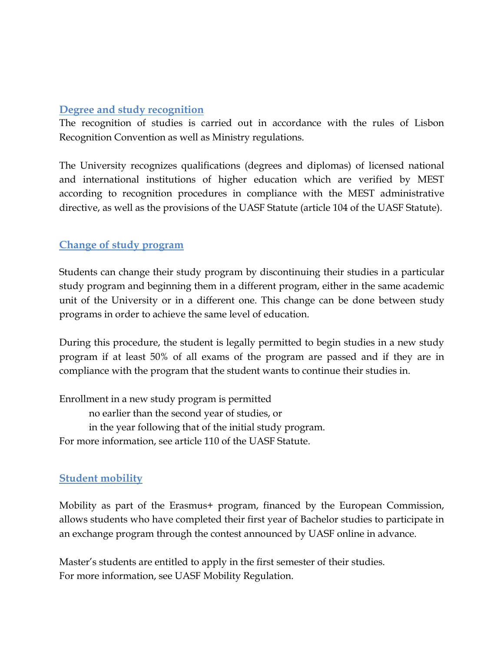## <span id="page-8-0"></span>**Degree and study recognition**

The recognition of studies is carried out in accordance with the rules of Lisbon Recognition Convention as well as Ministry regulations.

The University recognizes qualifications (degrees and diplomas) of licensed national and international institutions of higher education which are verified by MEST according to recognition procedures in compliance with the MEST administrative directive, as well as the provisions of the UASF Statute (article 104 of the UASF Statute).

# <span id="page-8-1"></span>**Change of study program**

Students can change their study program by discontinuing their studies in a particular study program and beginning them in a different program, either in the same academic unit of the University or in a different one. This change can be done between study programs in order to achieve the same level of education.

During this procedure, the student is legally permitted to begin studies in a new study program if at least 50% of all exams of the program are passed and if they are in compliance with the program that the student wants to continue their studies in.

Enrollment in a new study program is permitted no earlier than the second year of studies, or in the year following that of the initial study program. For more information, see article 110 of the UASF Statute.

## <span id="page-8-2"></span>**Student mobility**

Mobility as part of the Erasmus+ program, financed by the European Commission, allows students who have completed their first year of Bachelor studies to participate in an exchange program through the contest announced by UASF online in advance.

Master's students are entitled to apply in the first semester of their studies. For more information, see UASF Mobility Regulation.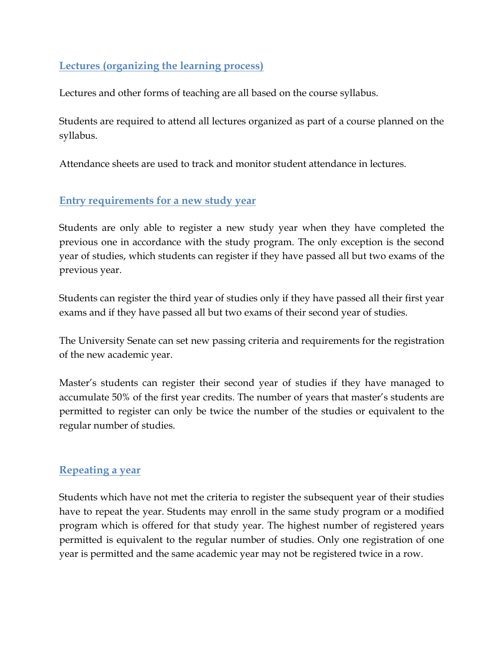# <span id="page-9-0"></span>**Lectures (organizing the learning process)**

Lectures and other forms of teaching are all based on the course syllabus.

Students are required to attend all lectures organized as part of a course planned on the syllabus.

Attendance sheets are used to track and monitor student attendance in lectures.

## <span id="page-9-1"></span>**Entry requirements for a new study year**

Students are only able to register a new study year when they have completed the previous one in accordance with the study program. The only exception is the second year of studies, which students can register if they have passed all but two exams of the previous year.

Students can register the third year of studies only if they have passed all their first year exams and if they have passed all but two exams of their second year of studies.

The University Senate can set new passing criteria and requirements for the registration of the new academic year.

Master's students can register their second year of studies if they have managed to accumulate 50% of the first year credits. The number of years that master's students are permitted to register can only be twice the number of the studies or equivalent to the regular number of studies.

## <span id="page-9-2"></span>**Repeating a year**

Students which have not met the criteria to register the subsequent year of their studies have to repeat the year. Students may enroll in the same study program or a modified program which is offered for that study year. The highest number of registered years permitted is equivalent to the regular number of studies. Only one registration of one year is permitted and the same academic year may not be registered twice in a row.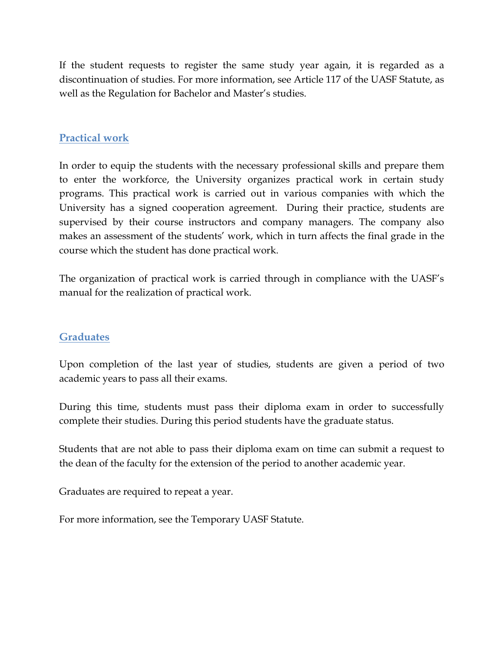If the student requests to register the same study year again, it is regarded as a discontinuation of studies. For more information, see Article 117 of the UASF Statute, as well as the Regulation for Bachelor and Master's studies.

# <span id="page-10-0"></span>**Practical work**

In order to equip the students with the necessary professional skills and prepare them to enter the workforce, the University organizes practical work in certain study programs. This practical work is carried out in various companies with which the University has a signed cooperation agreement. During their practice, students are supervised by their course instructors and company managers. The company also makes an assessment of the students' work, which in turn affects the final grade in the course which the student has done practical work.

The organization of practical work is carried through in compliance with the UASF's manual for the realization of practical work.

## <span id="page-10-1"></span>**Graduates**

Upon completion of the last year of studies, students are given a period of two academic years to pass all their exams.

During this time, students must pass their diploma exam in order to successfully complete their studies. During this period students have the graduate status.

Students that are not able to pass their diploma exam on time can submit a request to the dean of the faculty for the extension of the period to another academic year.

Graduates are required to repeat a year.

For more information, see the Temporary UASF Statute.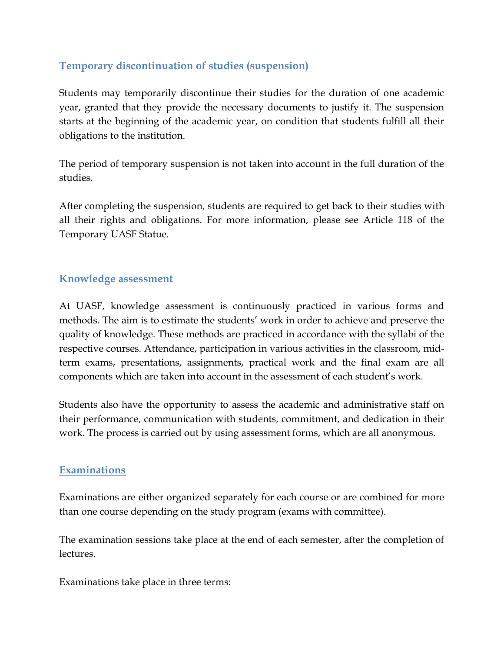# <span id="page-11-0"></span>**Temporary discontinuation of studies (suspension)**

Students may temporarily discontinue their studies for the duration of one academic year, granted that they provide the necessary documents to justify it. The suspension starts at the beginning of the academic year, on condition that students fulfill all their obligations to the institution.

The period of temporary suspension is not taken into account in the full duration of the studies.

After completing the suspension, students are required to get back to their studies with all their rights and obligations. For more information, please see Article 118 of the Temporary UASF Statue.

## <span id="page-11-1"></span>**Knowledge assessment**

At UASF, knowledge assessment is continuously practiced in various forms and methods. The aim is to estimate the students' work in order to achieve and preserve the quality of knowledge. These methods are practiced in accordance with the syllabi of the respective courses. Attendance, participation in various activities in the classroom, midterm exams, presentations, assignments, practical work and the final exam are all components which are taken into account in the assessment of each student's work.

Students also have the opportunity to assess the academic and administrative staff on their performance, communication with students, commitment, and dedication in their work. The process is carried out by using assessment forms, which are all anonymous.

## <span id="page-11-2"></span>**Examinations**

Examinations are either organized separately for each course or are combined for more than one course depending on the study program (exams with committee).

The examination sessions take place at the end of each semester, after the completion of lectures.

Examinations take place in three terms: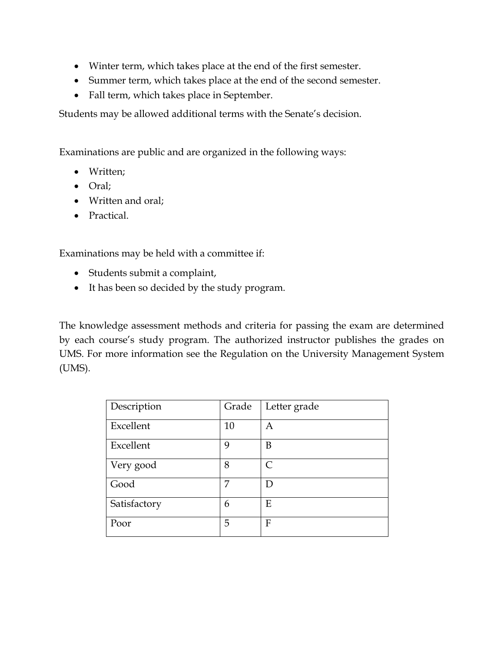- Winter term, which takes place at the end of the first semester.
- Summer term, which takes place at the end of the second semester.
- Fall term, which takes place in September.

Students may be allowed additional terms with the Senate's decision.

Examinations are public and are organized in the following ways:

- Written;
- Oral;
- Written and oral;
- Practical.

Examinations may be held with a committee if:

- Students submit a complaint,
- It has been so decided by the study program.

The knowledge assessment methods and criteria for passing the exam are determined by each course's study program. The authorized instructor publishes the grades on UMS. For more information see the Regulation on the University Management System (UMS).

| Description  | Grade | Letter grade |
|--------------|-------|--------------|
| Excellent    | 10    | Α            |
| Excellent    | 9     | B            |
| Very good    | 8     | $\subset$    |
| Good         | 7     |              |
| Satisfactory | 6     | Ε            |
| Poor         | 5     | F            |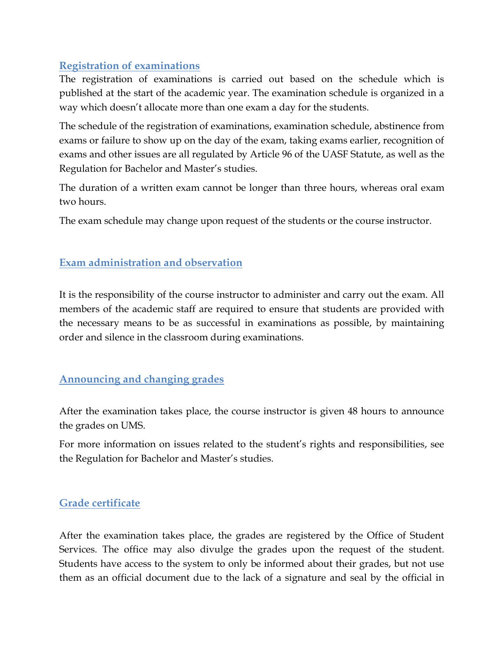# <span id="page-13-0"></span>**Registration of examinations**

The registration of examinations is carried out based on the schedule which is published at the start of the academic year. The examination schedule is organized in a way which doesn't allocate more than one exam a day for the students.

The schedule of the registration of examinations, examination schedule, abstinence from exams or failure to show up on the day of the exam, taking exams earlier, recognition of exams and other issues are all regulated by Article 96 of the UASF Statute, as well as the Regulation for Bachelor and Master's studies.

The duration of a written exam cannot be longer than three hours, whereas oral exam two hours.

The exam schedule may change upon request of the students or the course instructor.

# <span id="page-13-1"></span>**Exam administration and observation**

It is the responsibility of the course instructor to administer and carry out the exam. All members of the academic staff are required to ensure that students are provided with the necessary means to be as successful in examinations as possible, by maintaining order and silence in the classroom during examinations.

## <span id="page-13-2"></span>**Announcing and changing grades**

After the examination takes place, the course instructor is given 48 hours to announce the grades on UMS.

For more information on issues related to the student's rights and responsibilities, see the Regulation for Bachelor and Master's studies.

## <span id="page-13-3"></span>**Grade certificate**

After the examination takes place, the grades are registered by the Office of Student Services. The office may also divulge the grades upon the request of the student. Students have access to the system to only be informed about their grades, but not use them as an official document due to the lack of a signature and seal by the official in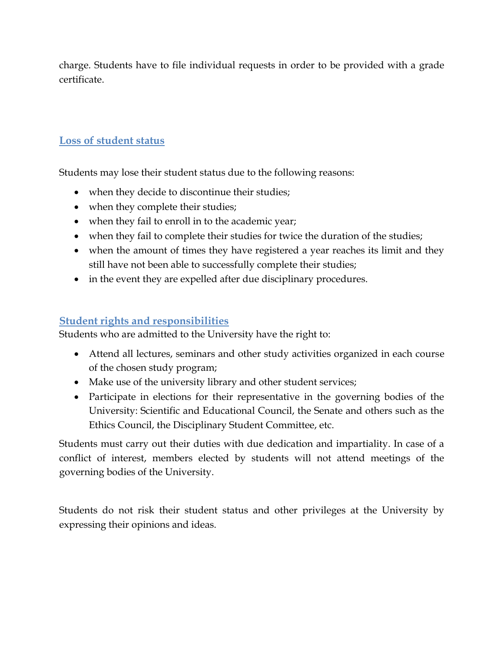charge. Students have to file individual requests in order to be provided with a grade certificate.

# <span id="page-14-0"></span>**Loss of student status**

Students may lose their student status due to the following reasons:

- when they decide to discontinue their studies;
- when they complete their studies;
- when they fail to enroll in to the academic year;
- when they fail to complete their studies for twice the duration of the studies;
- when the amount of times they have registered a year reaches its limit and they still have not been able to successfully complete their studies;
- in the event they are expelled after due disciplinary procedures.

# <span id="page-14-1"></span>**Student rights and responsibilities**

Students who are admitted to the University have the right to:

- Attend all lectures, seminars and other study activities organized in each course of the chosen study program;
- Make use of the university library and other student services;
- Participate in elections for their representative in the governing bodies of the University: Scientific and Educational Council, the Senate and others such as the Ethics Council, the Disciplinary Student Committee, etc.

Students must carry out their duties with due dedication and impartiality. In case of a conflict of interest, members elected by students will not attend meetings of the governing bodies of the University.

Students do not risk their student status and other privileges at the University by expressing their opinions and ideas.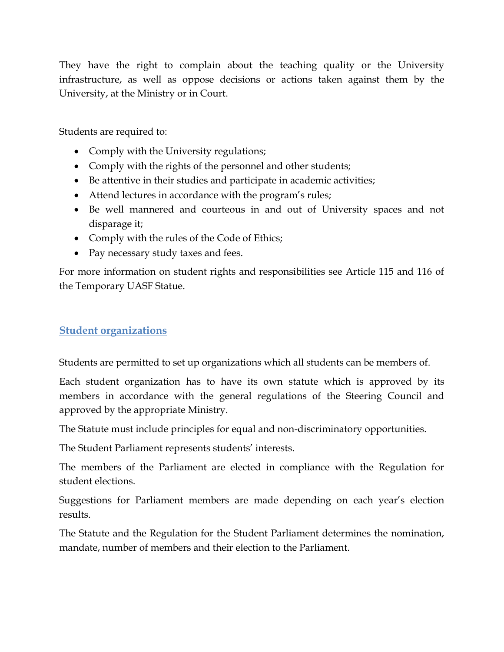They have the right to complain about the teaching quality or the University infrastructure, as well as oppose decisions or actions taken against them by the University, at the Ministry or in Court.

Students are required to:

- Comply with the University regulations;
- Comply with the rights of the personnel and other students;
- Be attentive in their studies and participate in academic activities;
- Attend lectures in accordance with the program's rules;
- Be well mannered and courteous in and out of University spaces and not disparage it;
- Comply with the rules of the Code of Ethics;
- Pay necessary study taxes and fees.

For more information on student rights and responsibilities see Article 115 and 116 of the Temporary UASF Statue.

# <span id="page-15-0"></span>**Student organizations**

Students are permitted to set up organizations which all students can be members of.

Each student organization has to have its own statute which is approved by its members in accordance with the general regulations of the Steering Council and approved by the appropriate Ministry.

The Statute must include principles for equal and non-discriminatory opportunities.

The Student Parliament represents students' interests.

The members of the Parliament are elected in compliance with the Regulation for student elections.

Suggestions for Parliament members are made depending on each year's election results.

The Statute and the Regulation for the Student Parliament determines the nomination, mandate, number of members and their election to the Parliament.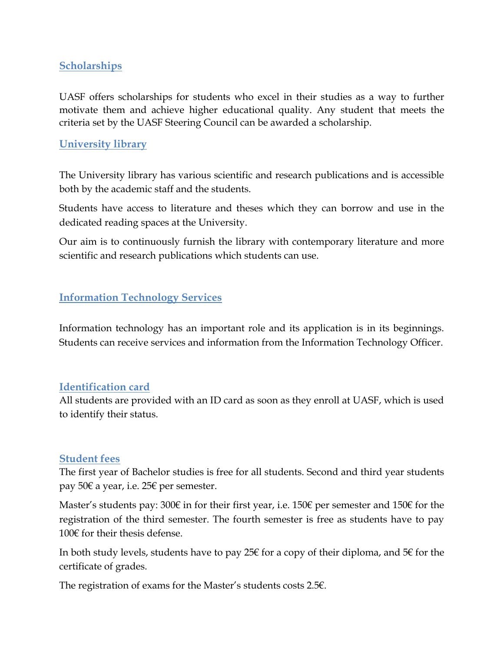## <span id="page-16-0"></span>**Scholarships**

UASF offers scholarships for students who excel in their studies as a way to further motivate them and achieve higher educational quality. Any student that meets the criteria set by the UASF Steering Council can be awarded a scholarship.

## <span id="page-16-1"></span>**University library**

The University library has various scientific and research publications and is accessible both by the academic staff and the students.

Students have access to literature and theses which they can borrow and use in the dedicated reading spaces at the University.

Our aim is to continuously furnish the library with contemporary literature and more scientific and research publications which students can use.

## <span id="page-16-2"></span>**Information Technology Services**

Information technology has an important role and its application is in its beginnings. Students can receive services and information from the Information Technology Officer.

## <span id="page-16-3"></span>**Identification card**

All students are provided with an ID card as soon as they enroll at UASF, which is used to identify their status.

## <span id="page-16-4"></span>**Student fees**

The first year of Bachelor studies is free for all students. Second and third year students pay 50€ a year, i.e. 25€ per semester.

Master's students pay: 300€ in for their first year, i.e. 150€ per semester and 150€ for the registration of the third semester. The fourth semester is free as students have to pay 100€ for their thesis defense.

In both study levels, students have to pay 25 $\epsilon$  for a copy of their diploma, and 5 $\epsilon$  for the certificate of grades.

The registration of exams for the Master's students costs 2.5€.